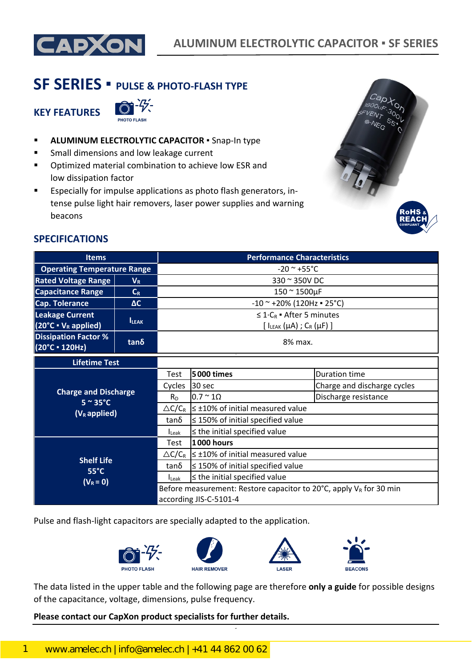

# **SF SERIES ▪ PULSE & PHOTO-FLASH TYPE**

**KEY FEATURES**



- **ALUMINUM ELECTROLYTIC CAPACITOR .** Snap-In type
- **Small dimensions and low leakage current**
- **•** Optimized material combination to achieve low ESR and low dissipation factor
- **Expecially for impulse applications as photo flash generators, in**tense pulse light hair removers, laser power supplies and warning beacons



# **SPECIFICATIONS**

| <b>Items</b>                                                            |             | <b>Performance Characteristics</b>                                                                                                                                             |                                                         |                             |  |  |  |
|-------------------------------------------------------------------------|-------------|--------------------------------------------------------------------------------------------------------------------------------------------------------------------------------|---------------------------------------------------------|-----------------------------|--|--|--|
| <b>Operating Temperature Range</b>                                      |             | $-20$ ~ $+55$ °C                                                                                                                                                               |                                                         |                             |  |  |  |
| <b>Rated Voltage Range</b>                                              | $V_R$       | 330 ~ 350V DC                                                                                                                                                                  |                                                         |                             |  |  |  |
| <b>Capacitance Range</b>                                                | $C_R$       | $150 - 1500 \mu F$                                                                                                                                                             |                                                         |                             |  |  |  |
| <b>Cap. Tolerance</b>                                                   | AC          | $-10$ ~ +20% (120Hz = 25°C)                                                                                                                                                    |                                                         |                             |  |  |  |
| <b>Leakage Current</b><br>$(20^{\circ}C \cdot V_R \text{ applied})$     | <b>LEAK</b> | $\leq 1 \cdot C_R$ • After 5 minutes<br>[ $I_{LEAK}(\mu A)$ ; $C_R(\mu F)$ ]                                                                                                   |                                                         |                             |  |  |  |
| <b>Dissipation Factor %</b><br>(20°C · 120Hz)                           | $tan\delta$ | 8% max.                                                                                                                                                                        |                                                         |                             |  |  |  |
| <b>Lifetime Test</b>                                                    |             |                                                                                                                                                                                |                                                         |                             |  |  |  |
| <b>Charge and Discharge</b><br>$5 \sim 35^{\circ}$ C<br>$(V_R$ applied) |             | Test                                                                                                                                                                           | <b>5000 times</b>                                       | Duration time               |  |  |  |
|                                                                         |             | Cycles                                                                                                                                                                         | 30 sec                                                  | Charge and discharge cycles |  |  |  |
|                                                                         |             | $R_D$                                                                                                                                                                          | $0.7 \approx 10$                                        | Discharge resistance        |  |  |  |
|                                                                         |             |                                                                                                                                                                                | $\triangle C/C_R$ $\leq$ ±10% of initial measured value |                             |  |  |  |
|                                                                         |             | $tan\delta$                                                                                                                                                                    | $\leq$ 150% of initial specified value                  |                             |  |  |  |
|                                                                         |             | $I_{\text{Leak}}$                                                                                                                                                              | $\leq$ the initial specified value                      |                             |  |  |  |
| <b>Shelf Life</b><br>$55^{\circ}$ C                                     |             | Test                                                                                                                                                                           | 1000 hours                                              |                             |  |  |  |
|                                                                         |             |                                                                                                                                                                                | $\triangle C/C_R$ $\leq$ ±10% of initial measured value |                             |  |  |  |
|                                                                         |             | tanδ                                                                                                                                                                           | $\leq$ 150% of initial specified value                  |                             |  |  |  |
| $(V_R = 0)$                                                             |             | $\leq$ the initial specified value<br>$I_{\text{Leak}}$<br>Before measurement: Restore capacitor to 20 $^{\circ}$ C, apply V <sub>R</sub> for 30 min<br>according JIS-C-5101-4 |                                                         |                             |  |  |  |
|                                                                         |             |                                                                                                                                                                                |                                                         |                             |  |  |  |
|                                                                         |             |                                                                                                                                                                                |                                                         |                             |  |  |  |

Pulse and flash-light capacitors are specially adapted to the application.



The data listed in the upper table and the following page are therefore **only a guide** for possible designs of the capacitance, voltage, dimensions, pulse frequency.

#### **Please contact our CapXon product specialists for further details.**